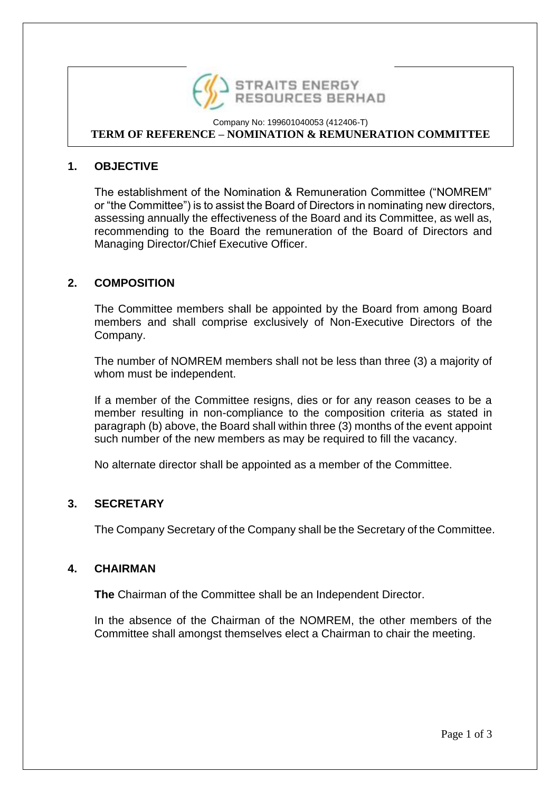

#### Company No: 199601040053 (412406-T) **TERM OF REFERENCE – NOMINATION & REMUNERATION COMMITTEE**

# **1. OBJECTIVE**

The establishment of the Nomination & Remuneration Committee ("NOMREM" or "the Committee") is to assist the Board of Directors in nominating new directors, assessing annually the effectiveness of the Board and its Committee, as well as, recommending to the Board the remuneration of the Board of Directors and Managing Director/Chief Executive Officer.

## **2. COMPOSITION**

The Committee members shall be appointed by the Board from among Board members and shall comprise exclusively of Non-Executive Directors of the Company.

The number of NOMREM members shall not be less than three (3) a majority of whom must be independent.

If a member of the Committee resigns, dies or for any reason ceases to be a member resulting in non-compliance to the composition criteria as stated in paragraph (b) above, the Board shall within three (3) months of the event appoint such number of the new members as may be required to fill the vacancy.

No alternate director shall be appointed as a member of the Committee.

## **3. SECRETARY**

The Company Secretary of the Company shall be the Secretary of the Committee.

### **4. CHAIRMAN**

**The** Chairman of the Committee shall be an Independent Director.

In the absence of the Chairman of the NOMREM, the other members of the Committee shall amongst themselves elect a Chairman to chair the meeting.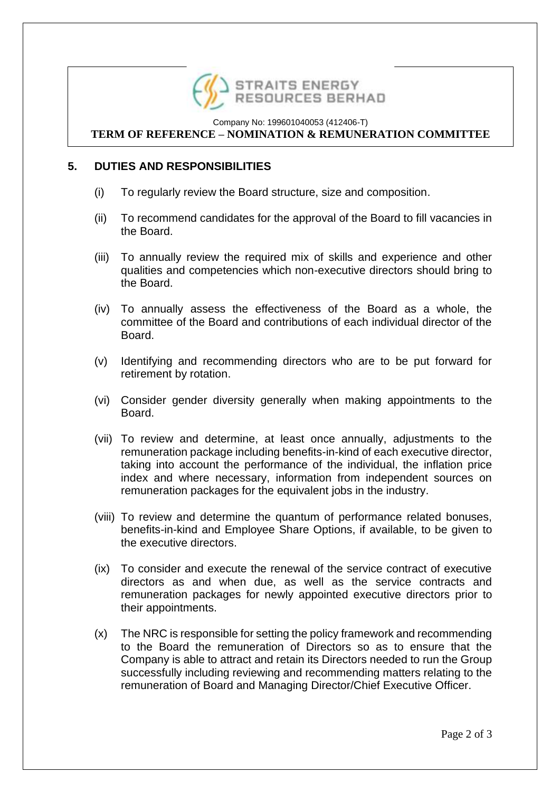

#### Company No: 199601040053 (412406-T) **TERM OF REFERENCE – NOMINATION & REMUNERATION COMMITTEE**

# **5. DUTIES AND RESPONSIBILITIES**

- (i) To regularly review the Board structure, size and composition.
- (ii) To recommend candidates for the approval of the Board to fill vacancies in the Board.
- (iii) To annually review the required mix of skills and experience and other qualities and competencies which non-executive directors should bring to the Board.
- (iv) To annually assess the effectiveness of the Board as a whole, the committee of the Board and contributions of each individual director of the Board.
- (v) Identifying and recommending directors who are to be put forward for retirement by rotation.
- (vi) Consider gender diversity generally when making appointments to the Board.
- (vii) To review and determine, at least once annually, adjustments to the remuneration package including benefits-in-kind of each executive director, taking into account the performance of the individual, the inflation price index and where necessary, information from independent sources on remuneration packages for the equivalent jobs in the industry.
- (viii) To review and determine the quantum of performance related bonuses, benefits-in-kind and Employee Share Options, if available, to be given to the executive directors.
- (ix) To consider and execute the renewal of the service contract of executive directors as and when due, as well as the service contracts and remuneration packages for newly appointed executive directors prior to their appointments.
- (x) The NRC is responsible for setting the policy framework and recommending to the Board the remuneration of Directors so as to ensure that the Company is able to attract and retain its Directors needed to run the Group successfully including reviewing and recommending matters relating to the remuneration of Board and Managing Director/Chief Executive Officer.